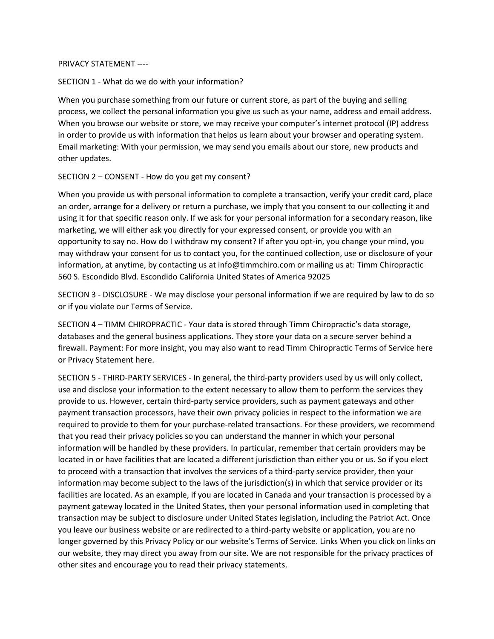## PRIVACY STATEMENT ----

## SECTION 1 - What do we do with your information?

When you purchase something from our future or current store, as part of the buying and selling process, we collect the personal information you give us such as your name, address and email address. When you browse our website or store, we may receive your computer's internet protocol (IP) address in order to provide us with information that helps us learn about your browser and operating system. Email marketing: With your permission, we may send you emails about our store, new products and other updates.

## SECTION 2 – CONSENT - How do you get my consent?

When you provide us with personal information to complete a transaction, verify your credit card, place an order, arrange for a delivery or return a purchase, we imply that you consent to our collecting it and using it for that specific reason only. If we ask for your personal information for a secondary reason, like marketing, we will either ask you directly for your expressed consent, or provide you with an opportunity to say no. How do I withdraw my consent? If after you opt-in, you change your mind, you may withdraw your consent for us to contact you, for the continued collection, use or disclosure of your information, at anytime, by contacting us at info@timmchiro.com or mailing us at: Timm Chiropractic 560 S. Escondido Blvd. Escondido California United States of America 92025

SECTION 3 - DISCLOSURE - We may disclose your personal information if we are required by law to do so or if you violate our Terms of Service.

SECTION 4 – TIMM CHIROPRACTIC - Your data is stored through Timm Chiropractic's data storage, databases and the general business applications. They store your data on a secure server behind a firewall. Payment: For more insight, you may also want to read Timm Chiropractic Terms of Service here or Privacy Statement here.

SECTION 5 - THIRD-PARTY SERVICES - In general, the third-party providers used by us will only collect, use and disclose your information to the extent necessary to allow them to perform the services they provide to us. However, certain third-party service providers, such as payment gateways and other payment transaction processors, have their own privacy policies in respect to the information we are required to provide to them for your purchase-related transactions. For these providers, we recommend that you read their privacy policies so you can understand the manner in which your personal information will be handled by these providers. In particular, remember that certain providers may be located in or have facilities that are located a different jurisdiction than either you or us. So if you elect to proceed with a transaction that involves the services of a third-party service provider, then your information may become subject to the laws of the jurisdiction(s) in which that service provider or its facilities are located. As an example, if you are located in Canada and your transaction is processed by a payment gateway located in the United States, then your personal information used in completing that transaction may be subject to disclosure under United States legislation, including the Patriot Act. Once you leave our business website or are redirected to a third-party website or application, you are no longer governed by this Privacy Policy or our website's Terms of Service. Links When you click on links on our website, they may direct you away from our site. We are not responsible for the privacy practices of other sites and encourage you to read their privacy statements.